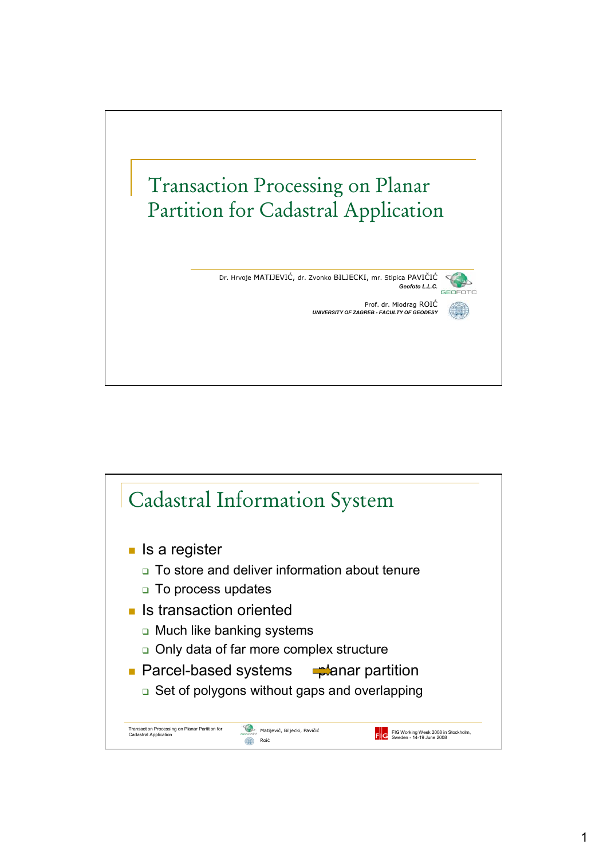

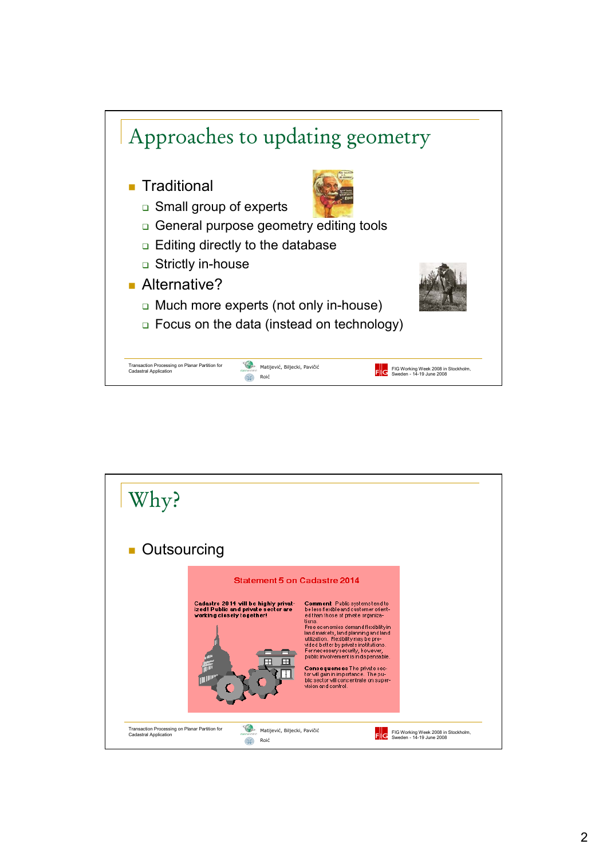

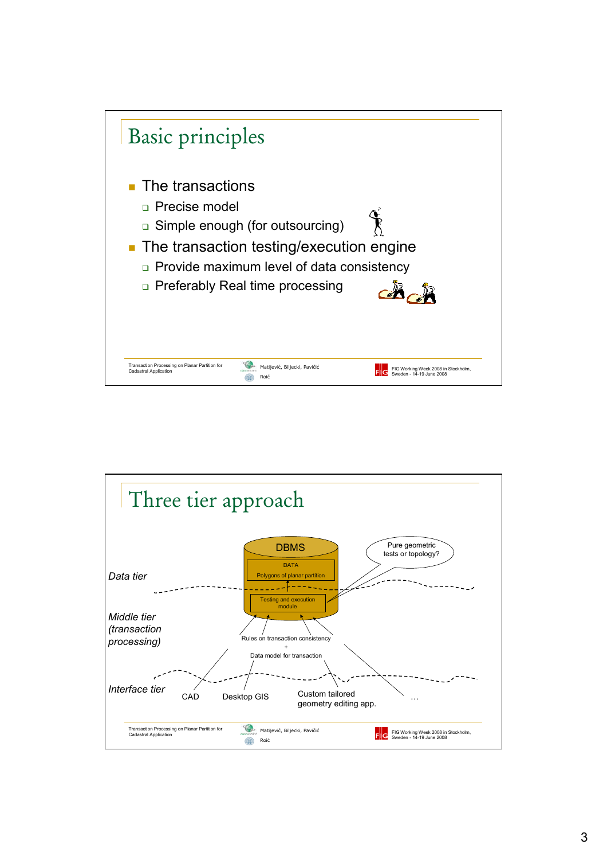

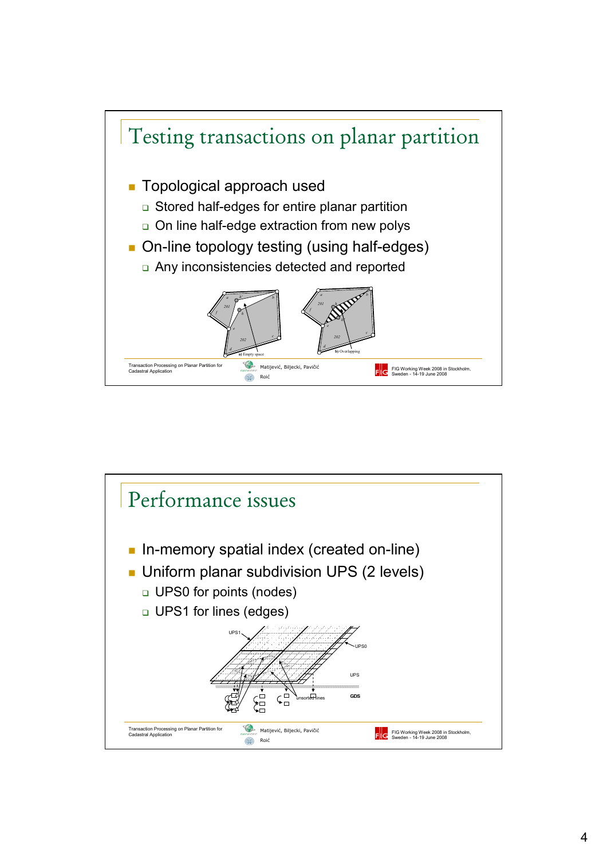